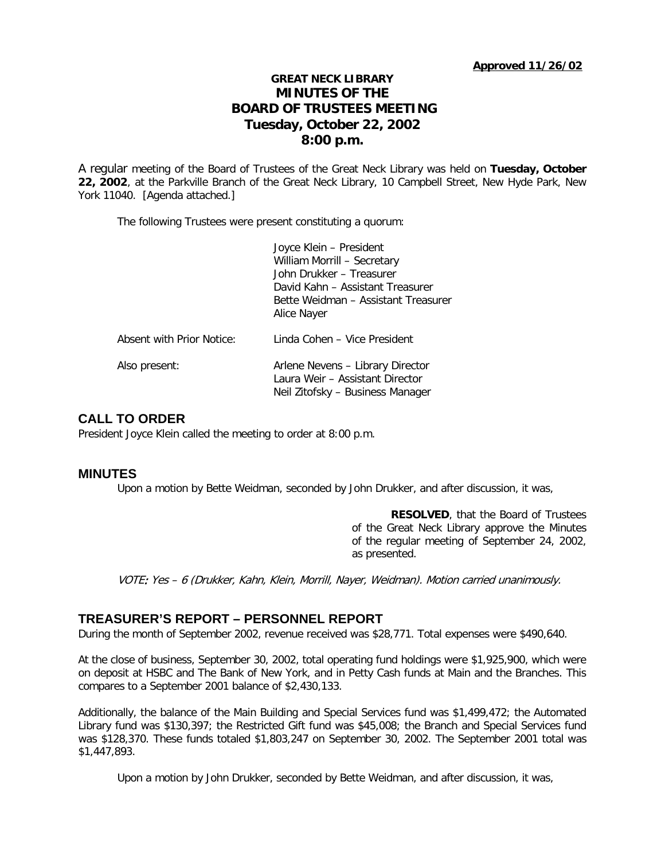# **GREAT NECK LIBRARY MINUTES OF THE BOARD OF TRUSTEES MEETING Tuesday, October 22, 2002 8:00 p.m.**

A regular meeting of the Board of Trustees of the Great Neck Library was held on **Tuesday, October 22, 2002**, at the Parkville Branch of the Great Neck Library, 10 Campbell Street, New Hyde Park, New York 11040. [Agenda attached.]

The following Trustees were present constituting a quorum:

|                           | Joyce Klein - President<br>William Morrill - Secretary<br>John Drukker - Treasurer<br>David Kahn – Assistant Treasurer<br>Bette Weidman – Assistant Treasurer<br>Alice Nayer |
|---------------------------|------------------------------------------------------------------------------------------------------------------------------------------------------------------------------|
| Absent with Prior Notice: | Linda Cohen - Vice President                                                                                                                                                 |
| Also present:             | Arlene Nevens - Library Director<br>Laura Weir - Assistant Director<br>Neil Zitofsky – Business Manager                                                                      |

# **CALL TO ORDER**

President Joyce Klein called the meeting to order at 8:00 p.m.

## **MINUTES**

Upon a motion by Bette Weidman, seconded by John Drukker, and after discussion, it was,

**RESOLVED**, that the Board of Trustees of the Great Neck Library approve the Minutes of the regular meeting of September 24, 2002, as presented.

VOTE: Yes – 6 (Drukker, Kahn, Klein, Morrill, Nayer, Weidman). Motion carried unanimously.

## **TREASURER'S REPORT – PERSONNEL REPORT**

During the month of September 2002, revenue received was \$28,771. Total expenses were \$490,640.

At the close of business, September 30, 2002, total operating fund holdings were \$1,925,900, which were on deposit at HSBC and The Bank of New York, and in Petty Cash funds at Main and the Branches. This compares to a September 2001 balance of \$2,430,133.

Additionally, the balance of the Main Building and Special Services fund was \$1,499,472; the Automated Library fund was \$130,397; the Restricted Gift fund was \$45,008; the Branch and Special Services fund was \$128,370. These funds totaled \$1,803,247 on September 30, 2002. The September 2001 total was \$1,447,893.

Upon a motion by John Drukker, seconded by Bette Weidman, and after discussion, it was,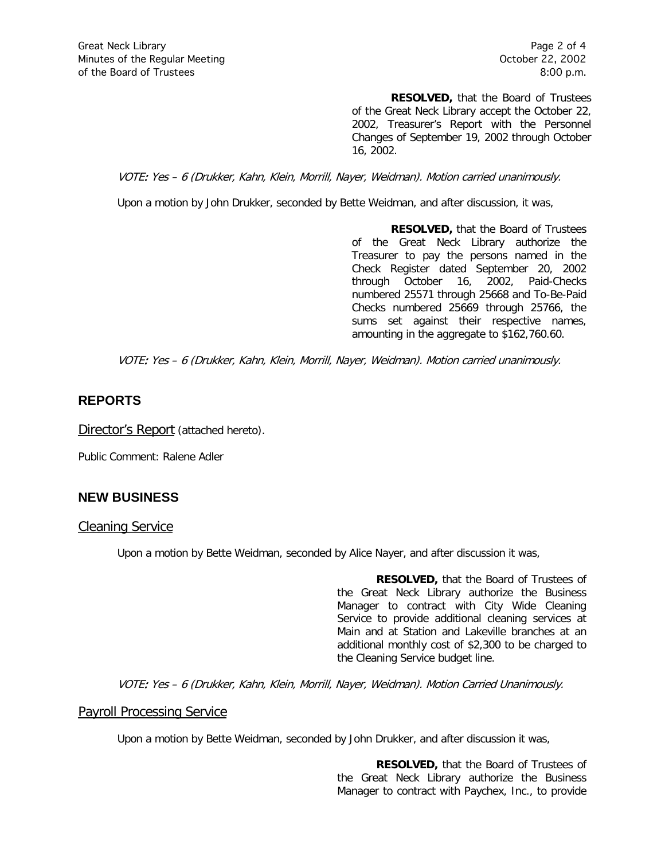**RESOLVED,** that the Board of Trustees of the Great Neck Library accept the October 22, 2002, Treasurer's Report with the Personnel Changes of September 19, 2002 through October 16, 2002.

VOTE: Yes – 6 (Drukker, Kahn, Klein, Morrill, Nayer, Weidman). Motion carried unanimously.

Upon a motion by John Drukker, seconded by Bette Weidman, and after discussion, it was,

**RESOLVED,** that the Board of Trustees of the Great Neck Library authorize the Treasurer to pay the persons named in the Check Register dated September 20, 2002 through October 16, 2002, Paid-Checks numbered 25571 through 25668 and To-Be-Paid Checks numbered 25669 through 25766, the sums set against their respective names, amounting in the aggregate to \$162,760.60.

VOTE: Yes – 6 (Drukker, Kahn, Klein, Morrill, Nayer, Weidman). Motion carried unanimously.

## **REPORTS**

Director's Report (attached hereto).

Public Comment: Ralene Adler

# **NEW BUSINESS**

## Cleaning Service

Upon a motion by Bette Weidman, seconded by Alice Nayer, and after discussion it was,

**RESOLVED,** that the Board of Trustees of the Great Neck Library authorize the Business Manager to contract with City Wide Cleaning Service to provide additional cleaning services at Main and at Station and Lakeville branches at an additional monthly cost of \$2,300 to be charged to the Cleaning Service budget line.

VOTE: Yes – 6 (Drukker, Kahn, Klein, Morrill, Nayer, Weidman). Motion Carried Unanimously.

## Payroll Processing Service

Upon a motion by Bette Weidman, seconded by John Drukker, and after discussion it was,

**RESOLVED,** that the Board of Trustees of the Great Neck Library authorize the Business Manager to contract with Paychex, Inc., to provide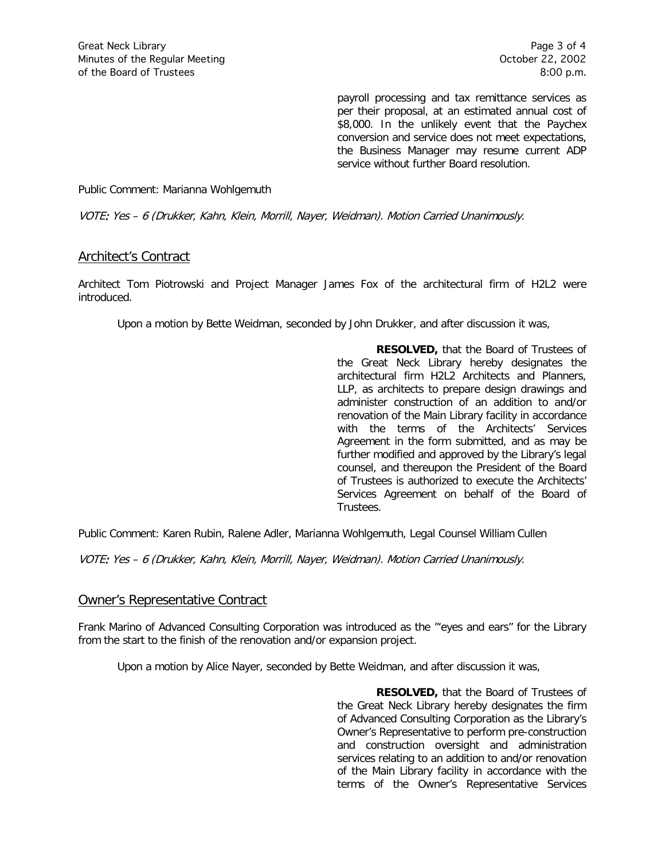payroll processing and tax remittance services as per their proposal, at an estimated annual cost of \$8,000. In the unlikely event that the Paychex conversion and service does not meet expectations, the Business Manager may resume current ADP service without further Board resolution.

#### Public Comment: Marianna Wohlgemuth

VOTE: Yes – 6 (Drukker, Kahn, Klein, Morrill, Nayer, Weidman). Motion Carried Unanimously.

## Architect's Contract

Architect Tom Piotrowski and Project Manager James Fox of the architectural firm of H2L2 were introduced.

Upon a motion by Bette Weidman, seconded by John Drukker, and after discussion it was,

**RESOLVED,** that the Board of Trustees of the Great Neck Library hereby designates the architectural firm H2L2 Architects and Planners, LLP, as architects to prepare design drawings and administer construction of an addition to and/or renovation of the Main Library facility in accordance with the terms of the Architects' Services Agreement in the form submitted, and as may be further modified and approved by the Library's legal counsel, and thereupon the President of the Board of Trustees is authorized to execute the Architects' Services Agreement on behalf of the Board of Trustees.

Public Comment: Karen Rubin, Ralene Adler, Marianna Wohlgemuth, Legal Counsel William Cullen

VOTE: Yes – 6 (Drukker, Kahn, Klein, Morrill, Nayer, Weidman). Motion Carried Unanimously.

## Owner's Representative Contract

Frank Marino of Advanced Consulting Corporation was introduced as the "'eyes and ears" for the Library from the start to the finish of the renovation and/or expansion project.

Upon a motion by Alice Nayer, seconded by Bette Weidman, and after discussion it was,

**RESOLVED,** that the Board of Trustees of the Great Neck Library hereby designates the firm of Advanced Consulting Corporation as the Library's Owner's Representative to perform pre-construction and construction oversight and administration services relating to an addition to and/or renovation of the Main Library facility in accordance with the terms of the Owner's Representative Services